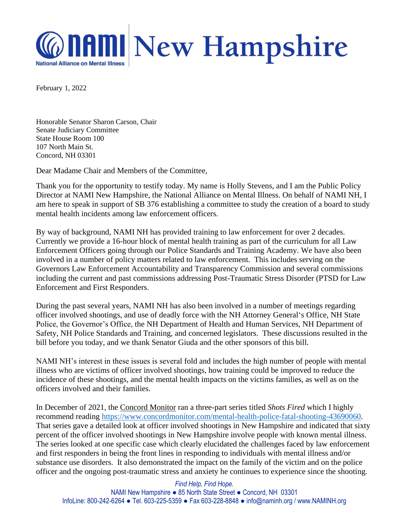

February 1, 2022

Honorable Senator Sharon Carson, Chair Senate Judiciary Committee State House Room 100 107 North Main St. Concord, NH 03301

Dear Madame Chair and Members of the Committee,

Thank you for the opportunity to testify today. My name is Holly Stevens, and I am the Public Policy Director at NAMI New Hampshire, the National Alliance on Mental Illness. On behalf of NAMI NH, I am here to speak in support of SB 376 establishing a committee to study the creation of a board to study mental health incidents among law enforcement officers.

By way of background, NAMI NH has provided training to law enforcement for over 2 decades. Currently we provide a 16-hour block of mental health training as part of the curriculum for all Law Enforcement Officers going through our Police Standards and Training Academy. We have also been involved in a number of policy matters related to law enforcement. This includes serving on the Governors Law Enforcement Accountability and Transparency Commission and several commissions including the current and past commissions addressing Post-Traumatic Stress Disorder (PTSD for Law Enforcement and First Responders.

During the past several years, NAMI NH has also been involved in a number of meetings regarding officer involved shootings, and use of deadly force with the NH Attorney General's Office, NH State Police, the Governor's Office, the NH Department of Health and Human Services, NH Department of Safety, NH Police Standards and Training, and concerned legislators. These discussions resulted in the bill before you today, and we thank Senator Giuda and the other sponsors of this bill.

NAMI NH's interest in these issues is several fold and includes the high number of people with mental illness who are victims of officer involved shootings, how training could be improved to reduce the incidence of these shootings, and the mental health impacts on the victims families, as well as on the officers involved and their families.

In December of 2021, the Concord Monitor ran a three-part series titled *Shots Fired* which I highly recommend reading [https://www.concordmonitor.com/mental-health-police-fatal-shooting-43690060.](https://www.concordmonitor.com/mental-health-police-fatal-shooting-43690060) That series gave a detailed look at officer involved shootings in New Hampshire and indicated that sixty percent of the officer involved shootings in New Hampshire involve people with known mental illness. The series looked at one specific case which clearly elucidated the challenges faced by law enforcement and first responders in being the front lines in responding to individuals with mental illness and/or substance use disorders. It also demonstrated the impact on the family of the victim and on the police officer and the ongoing post-traumatic stress and anxiety he continues to experience since the shooting.

*Find Help, Find Hope.* NAMI New Hampshire ● 85 North State Street ● Concord, NH 03301 InfoLine: 800-242-6264 ● Tel. 603-225-5359 ● Fax 603-228-8848 ● info@naminh.org / www.NAMINH.org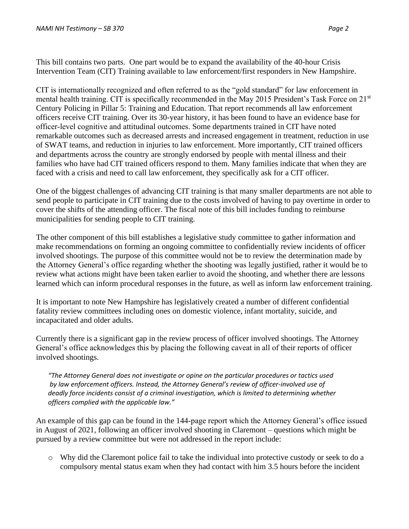This bill contains two parts. One part would be to expand the availability of the 40-hour Crisis Intervention Team (CIT) Training available to law enforcement/first responders in New Hampshire.

CIT is internationally recognized and often referred to as the "gold standard" for law enforcement in mental health training. CIT is specifically recommended in the May 2015 President's Task Force on 21<sup>st</sup> Century Policing in Pillar 5: Training and Education. That report recommends all law enforcement officers receive CIT training. Over its 30-year history, it has been found to have an evidence base for officer‐level cognitive and attitudinal outcomes. Some departments trained in CIT have noted remarkable outcomes such as decreased arrests and increased engagement in treatment, reduction in use of SWAT teams, and reduction in injuries to law enforcement. More importantly, CIT trained officers and departments across the country are strongly endorsed by people with mental illness and their families who have had CIT trained officers respond to them. Many families indicate that when they are faced with a crisis and need to call law enforcement, they specifically ask for a CIT officer.

One of the biggest challenges of advancing CIT training is that many smaller departments are not able to send people to participate in CIT training due to the costs involved of having to pay overtime in order to cover the shifts of the attending officer. The fiscal note of this bill includes funding to reimburse municipalities for sending people to CIT training.

The other component of this bill establishes a legislative study committee to gather information and make recommendations on forming an ongoing committee to confidentially review incidents of officer involved shootings. The purpose of this committee would not be to review the determination made by the Attorney General's office regarding whether the shooting was legally justified, rather it would be to review what actions might have been taken earlier to avoid the shooting, and whether there are lessons learned which can inform procedural responses in the future, as well as inform law enforcement training.

It is important to note New Hampshire has legislatively created a number of different confidential fatality review committees including ones on domestic violence, infant mortality, suicide, and incapacitated and older adults.

Currently there is a significant gap in the review process of officer involved shootings. The Attorney General's office acknowledges this by placing the following caveat in all of their reports of officer involved shootings.

*"The Attorney General does not investigate or opine on the particular procedures or tactics used by law enforcement officers. Instead, the Attorney General's review of officer-involved use of deadly force incidents consist of a criminal investigation, which is limited to determining whether officers complied with the applicable law."*

An example of this gap can be found in the 144-page report which the Attorney General's office issued in August of 2021, following an officer involved shooting in Claremont – questions which might be pursued by a review committee but were not addressed in the report include:

o Why did the Claremont police fail to take the individual into protective custody or seek to do a compulsory mental status exam when they had contact with him 3.5 hours before the incident